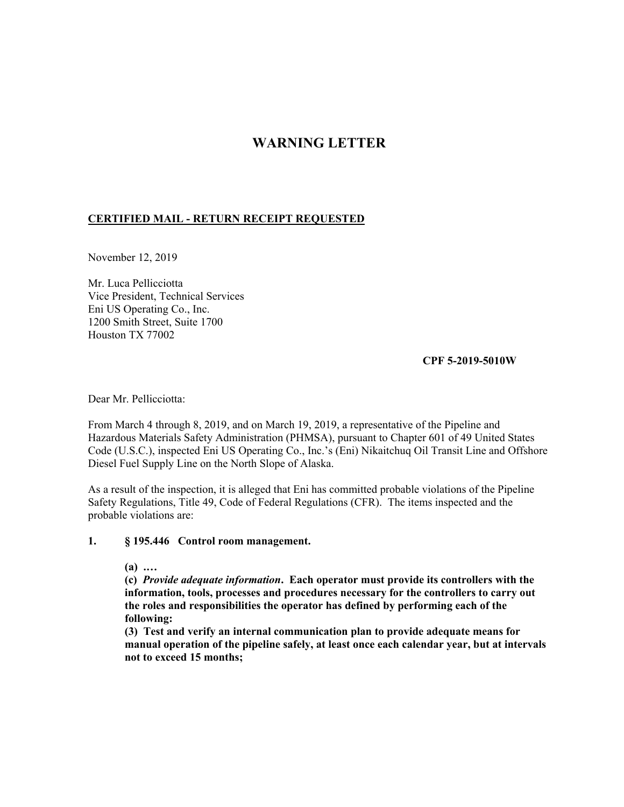# **WARNING LETTER**

## **CERTIFIED MAIL - RETURN RECEIPT REQUESTED**

November 12, 2019

Mr. Luca Pellicciotta Vice President, Technical Services Eni US Operating Co., Inc. 1200 Smith Street, Suite 1700 Houston TX 77002

**CPF 5-2019-5010W** 

Dear Mr. Pellicciotta:

From March 4 through 8, 2019, and on March 19, 2019, a representative of the Pipeline and Hazardous Materials Safety Administration (PHMSA), pursuant to Chapter 601 of 49 United States Code (U.S.C.), inspected Eni US Operating Co., Inc.'s (Eni) Nikaitchuq Oil Transit Line and Offshore Diesel Fuel Supply Line on the North Slope of Alaska.

As a result of the inspection, it is alleged that Eni has committed probable violations of the Pipeline Safety Regulations, Title 49, Code of Federal Regulations (CFR). The items inspected and the probable violations are:

## **1. § 195.446 Control room management.**

**(a) .…** 

**(c)** *Provide adequate information***. Each operator must provide its controllers with the information, tools, processes and procedures necessary for the controllers to carry out the roles and responsibilities the operator has defined by performing each of the following:** 

**(3) Test and verify an internal communication plan to provide adequate means for manual operation of the pipeline safely, at least once each calendar year, but at intervals not to exceed 15 months;**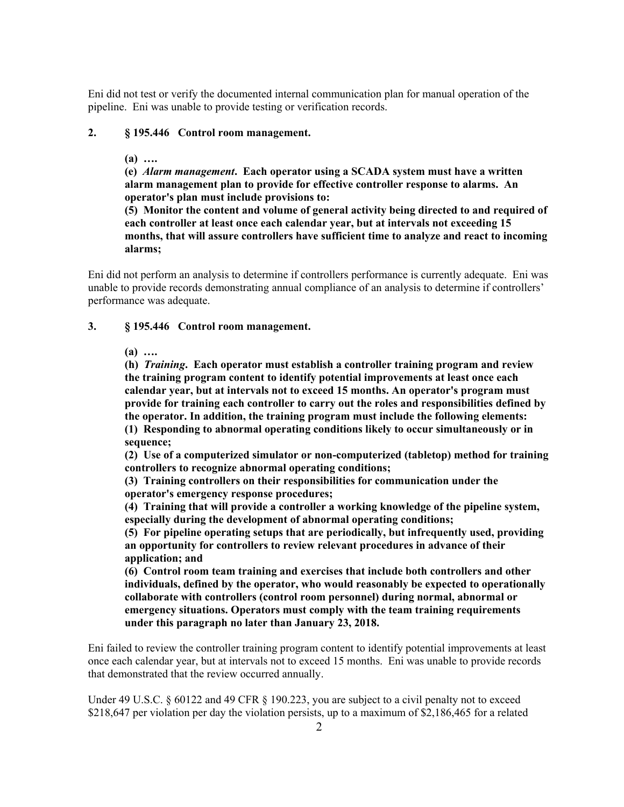Eni did not test or verify the documented internal communication plan for manual operation of the pipeline. Eni was unable to provide testing or verification records.

### **2. § 195.446 Control room management.**

#### **(a) ….**

**(e)** *Alarm management***. Each operator using a SCADA system must have a written alarm management plan to provide for effective controller response to alarms. An operator's plan must include provisions to:** 

**(5) Monitor the content and volume of general activity being directed to and required of each controller at least once each calendar year, but at intervals not exceeding 15 months, that will assure controllers have sufficient time to analyze and react to incoming alarms;** 

Eni did not perform an analysis to determine if controllers performance is currently adequate. Eni was unable to provide records demonstrating annual compliance of an analysis to determine if controllers' performance was adequate.

#### **3. § 195.446 Control room management.**

**(a) ….** 

**(h)** *Training***. Each operator must establish a controller training program and review the training program content to identify potential improvements at least once each calendar year, but at intervals not to exceed 15 months. An operator's program must provide for training each controller to carry out the roles and responsibilities defined by the operator. In addition, the training program must include the following elements: (1) Responding to abnormal operating conditions likely to occur simultaneously or in sequence;** 

**(2) Use of a computerized simulator or non-computerized (tabletop) method for training controllers to recognize abnormal operating conditions;** 

**(3) Training controllers on their responsibilities for communication under the operator's emergency response procedures;** 

**(4) Training that will provide a controller a working knowledge of the pipeline system, especially during the development of abnormal operating conditions;** 

**(5) For pipeline operating setups that are periodically, but infrequently used, providing an opportunity for controllers to review relevant procedures in advance of their application; and** 

**(6) Control room team training and exercises that include both controllers and other individuals, defined by the operator, who would reasonably be expected to operationally collaborate with controllers (control room personnel) during normal, abnormal or emergency situations. Operators must comply with the team training requirements under this paragraph no later than January 23, 2018.** 

Eni failed to review the controller training program content to identify potential improvements at least once each calendar year, but at intervals not to exceed 15 months. Eni was unable to provide records that demonstrated that the review occurred annually.

Under 49 U.S.C. § 60122 and 49 CFR § 190.223, you are subject to a civil penalty not to exceed \$218,647 per violation per day the violation persists, up to a maximum of \$2,186,465 for a related